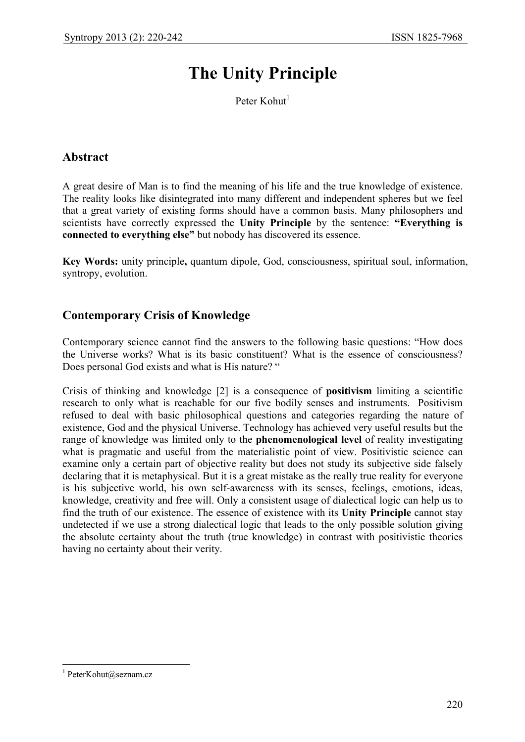# **The Unity Principle**

Peter Kohut $<sup>1</sup>$ </sup>

# **Abstract**

A great desire of Man is to find the meaning of his life and the true knowledge of existence. The reality looks like disintegrated into many different and independent spheres but we feel that a great variety of existing forms should have a common basis. Many philosophers and scientists have correctly expressed the **Unity Principle** by the sentence: **"Everything is connected to everything else"** but nobody has discovered its essence.

**Key Words:** unity principle**,** quantum dipole, God, consciousness, spiritual soul, information, syntropy, evolution.

# **Contemporary Crisis of Knowledge**

Contemporary science cannot find the answers to the following basic questions: "How does the Universe works? What is its basic constituent? What is the essence of consciousness? Does personal God exists and what is His nature? "

Crisis of thinking and knowledge [2] is a consequence of **positivism** limiting a scientific research to only what is reachable for our five bodily senses and instruments. Positivism refused to deal with basic philosophical questions and categories regarding the nature of existence, God and the physical Universe. Technology has achieved very useful results but the range of knowledge was limited only to the **phenomenological level** of reality investigating what is pragmatic and useful from the materialistic point of view. Positivistic science can examine only a certain part of objective reality but does not study its subjective side falsely declaring that it is metaphysical. But it is a great mistake as the really true reality for everyone is his subjective world, his own self-awareness with its senses, feelings, emotions, ideas, knowledge, creativity and free will. Only a consistent usage of dialectical logic can help us to find the truth of our existence. The essence of existence with its **Unity Principle** cannot stay undetected if we use a strong dialectical logic that leads to the only possible solution giving the absolute certainty about the truth (true knowledge) in contrast with positivistic theories having no certainty about their verity.

<sup>1</sup> <sup>1</sup> PeterKohut@seznam.cz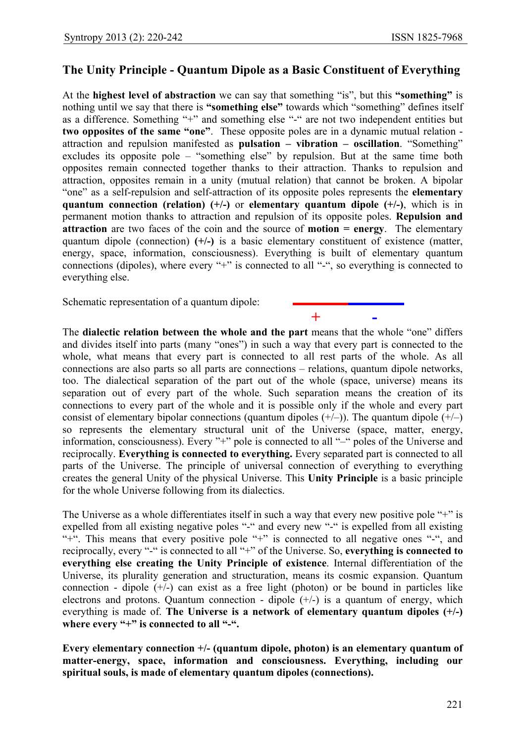### **The Unity Principle - Quantum Dipole as a Basic Constituent of Everything**

At the **highest level of abstraction** we can say that something "is", but this **"something"** is nothing until we say that there is **"something else"** towards which "something" defines itself as a difference. Something "+" and something else "-" are not two independent entities but **two opposites of the same "one"**. These opposite poles are in a dynamic mutual relation attraction and repulsion manifested as **pulsation – vibration – oscillation**. "Something" excludes its opposite pole – "something else" by repulsion. But at the same time both opposites remain connected together thanks to their attraction. Thanks to repulsion and attraction, opposites remain in a unity (mutual relation) that cannot be broken. A bipolar "one" as a self-repulsion and self-attraction of its opposite poles represents the **elementary quantum connection (relation) (+/-)** or **elementary quantum dipole (+/-)**, which is in permanent motion thanks to attraction and repulsion of its opposite poles. **Repulsion and attraction** are two faces of the coin and the source of **motion = energy**. The elementary quantum dipole (connection) **(+/-)** is a basic elementary constituent of existence (matter, energy, space, information, consciousness). Everything is built of elementary quantum connections (dipoles), where every "+" is connected to all "-", so everything is connected to everything else.

Schematic representation of a quantum dipole:

**+ -**

The **dialectic relation between the whole and the part** means that the whole "one" differs and divides itself into parts (many "ones") in such a way that every part is connected to the whole, what means that every part is connected to all rest parts of the whole. As all connections are also parts so all parts are connections – relations, quantum dipole networks, too. The dialectical separation of the part out of the whole (space, universe) means its separation out of every part of the whole. Such separation means the creation of its connections to every part of the whole and it is possible only if the whole and every part consist of elementary bipolar connections (quantum dipoles  $(+/-)$ ). The quantum dipole  $(+/-)$ so represents the elementary structural unit of the Universe (space, matter, energy, information, consciousness). Every "+" pole is connected to all "–" poles of the Universe and reciprocally. **Everything is connected to everything.** Every separated part is connected to all parts of the Universe. The principle of universal connection of everything to everything creates the general Unity of the physical Universe. This **Unity Principle** is a basic principle for the whole Universe following from its dialectics.

The Universe as a whole differentiates itself in such a way that every new positive pole "+" is expelled from all existing negative poles "-" and every new "-" is expelled from all existing "+". This means that every positive pole "+" is connected to all negative ones "-", and reciprocally, every "-" is connected to all "+" of the Universe. So, **everything is connected to everything else creating the Unity Principle of existence**. Internal differentiation of the Universe, its plurality generation and structuration, means its cosmic expansion. Quantum connection - dipole  $(+/-)$  can exist as a free light (photon) or be bound in particles like electrons and protons. Quantum connection - dipole  $(+/-)$  is a quantum of energy, which everything is made of. **The Universe is a network of elementary quantum dipoles (+/-) where every "+" is connected to all "-".**

**Every elementary connection +/- (quantum dipole, photon) is an elementary quantum of matter-energy, space, information and consciousness. Everything, including our spiritual souls, is made of elementary quantum dipoles (connections).**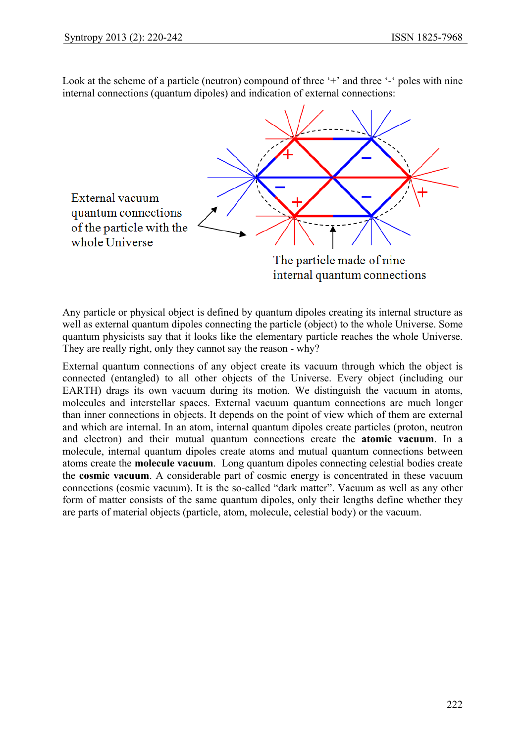Look at the scheme of a particle (neutron) compound of three '<sup>+</sup>' and three '<sup>-'</sup> poles with nine internal connections (quantum dipoles) and indication of external connections:



Any particle or physical object is defined by quantum dipoles creating its internal structure as well as external quantum dipoles connecting the particle (object) to the whole Universe. Some quantum physicists say that it looks like the elementary particle reaches the whole Universe. They are really right, only they cannot say the reason - why?

External quantum connections of any object create its vacuum through which the object is connected (entangled) to all other objects of the Universe. Every object (including our EARTH) drags its own vacuum during its motion. We distinguish the vacuum in atoms, molecules and interstellar spaces. External vacuum quantum connections are much longer than inner connections in objects. It depends on the point of view which of them are external and which are internal. In an atom, internal quantum dipoles create particles (proton, neutron and electron) and their mutual quantum connections create the **atomic vacuum**. In a molecule, internal quantum dipoles create atoms and mutual quantum connections between atoms create the **molecule vacuum**. Long quantum dipoles connecting celestial bodies create the **cosmic vacuum**. A considerable part of cosmic energy is concentrated in these vacuum connections (cosmic vacuum). It is the so-called "dark matter". Vacuum as well as any other form of matter consists of the same quantum dipoles, only their lengths define whether they are parts of material objects (particle, atom, molecule, celestial body) or the vacuum.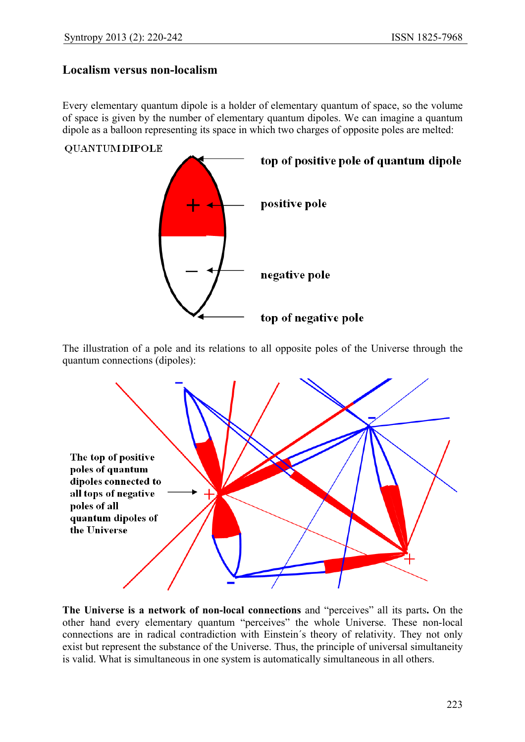### **Localism versus non-localism**

Every elementary quantum dipole is a holder of elementary quantum of space, so the volume of space is given by the number of elementary quantum dipoles. We can imagine a quantum dipole as a balloon representing its space in which two charges of opposite poles are melted:

#### **QUANTUM DIPOLE**



The illustration of a pole and its relations to all opposite poles of the Universe through the quantum connections (dipoles):



**The Universe is a network of non-local connections** and "perceives" all its parts**.** On the other hand every elementary quantum "perceives" the whole Universe. These non-local connections are in radical contradiction with Einstein´s theory of relativity. They not only exist but represent the substance of the Universe. Thus, the principle of universal simultaneity is valid. What is simultaneous in one system is automatically simultaneous in all others.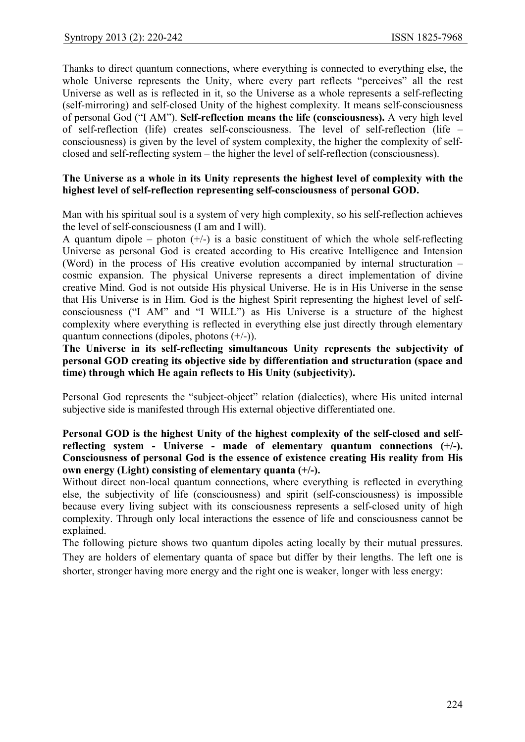Thanks to direct quantum connections, where everything is connected to everything else, the whole Universe represents the Unity, where every part reflects "perceives" all the rest Universe as well as is reflected in it, so the Universe as a whole represents a self-reflecting (self-mirroring) and self-closed Unity of the highest complexity. It means self-consciousness of personal God ("I AM"). **Self-reflection means the life (consciousness).** A very high level of self-reflection (life) creates self-consciousness. The level of self-reflection (life – consciousness) is given by the level of system complexity, the higher the complexity of selfclosed and self-reflecting system – the higher the level of self-reflection (consciousness).

#### **The Universe as a whole in its Unity represents the highest level of complexity with the highest level of self-reflection representing self-consciousness of personal GOD.**

Man with his spiritual soul is a system of very high complexity, so his self-reflection achieves the level of self-consciousness (I am and I will).

A quantum dipole – photon  $(+/-)$  is a basic constituent of which the whole self-reflecting Universe as personal God is created according to His creative Intelligence and Intension (Word) in the process of His creative evolution accompanied by internal structuration – cosmic expansion. The physical Universe represents a direct implementation of divine creative Mind. God is not outside His physical Universe. He is in His Universe in the sense that His Universe is in Him. God is the highest Spirit representing the highest level of selfconsciousness ("I AM" and "I WILL") as His Universe is a structure of the highest complexity where everything is reflected in everything else just directly through elementary quantum connections (dipoles, photons  $(+/-)$ ).

**The Universe in its self-reflecting simultaneous Unity represents the subjectivity of personal GOD creating its objective side by differentiation and structuration (space and time) through which He again reflects to His Unity (subjectivity).**

Personal God represents the "subject-object" relation (dialectics), where His united internal subjective side is manifested through His external objective differentiated one.

#### **Personal GOD is the highest Unity of the highest complexity of the self-closed and selfreflecting system - Universe - made of elementary quantum connections (+/-). Consciousness of personal God is the essence of existence creating His reality from His own energy (Light) consisting of elementary quanta (+/-).**

Without direct non-local quantum connections, where everything is reflected in everything else, the subjectivity of life (consciousness) and spirit (self-consciousness) is impossible because every living subject with its consciousness represents a self-closed unity of high complexity. Through only local interactions the essence of life and consciousness cannot be explained.

The following picture shows two quantum dipoles acting locally by their mutual pressures. They are holders of elementary quanta of space but differ by their lengths. The left one is shorter, stronger having more energy and the right one is weaker, longer with less energy: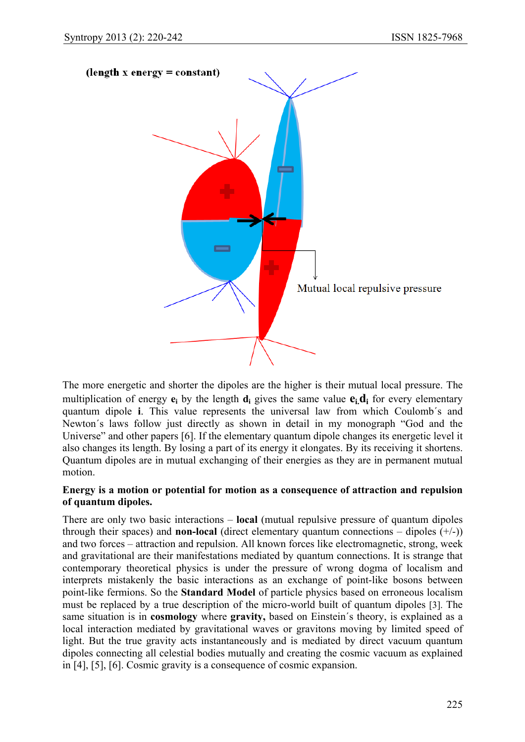

The more energetic and shorter the dipoles are the higher is their mutual local pressure. The multiplication of energy  $\mathbf{e}_i$  by the length **d**<sub>i</sub> gives the same value  $\mathbf{e}_i \mathbf{d}_i$  for every elementary quantum dipole **i**. This value represents the universal law from which Coulomb´s and Newton´s laws follow just directly as shown in detail in my monograph "God and the Universe" and other papers [6]. If the elementary quantum dipole changes its energetic level it also changes its length. By losing a part of its energy it elongates. By its receiving it shortens. Quantum dipoles are in mutual exchanging of their energies as they are in permanent mutual motion.

#### **Energy is a motion or potential for motion as a consequence of attraction and repulsion of quantum dipoles.**

There are only two basic interactions – **local** (mutual repulsive pressure of quantum dipoles through their spaces) and **non-local** (direct elementary quantum connections – dipoles  $(+/-)$ ) and two forces – attraction and repulsion. All known forces like electromagnetic, strong, week and gravitational are their manifestations mediated by quantum connections. It is strange that contemporary theoretical physics is under the pressure of wrong dogma of localism and interprets mistakenly the basic interactions as an exchange of point-like bosons between point-like fermions. So the **Standard Model** of particle physics based on erroneous localism must be replaced by a true description of the micro-world built of quantum dipoles [3]. The same situation is in **cosmology** where **gravity,** based on Einstein´s theory, is explained as a local interaction mediated by gravitational waves or gravitons moving by limited speed of light. But the true gravity acts instantaneously and is mediated by direct vacuum quantum dipoles connecting all celestial bodies mutually and creating the cosmic vacuum as explained in [4], [5], [6]. Cosmic gravity is a consequence of cosmic expansion.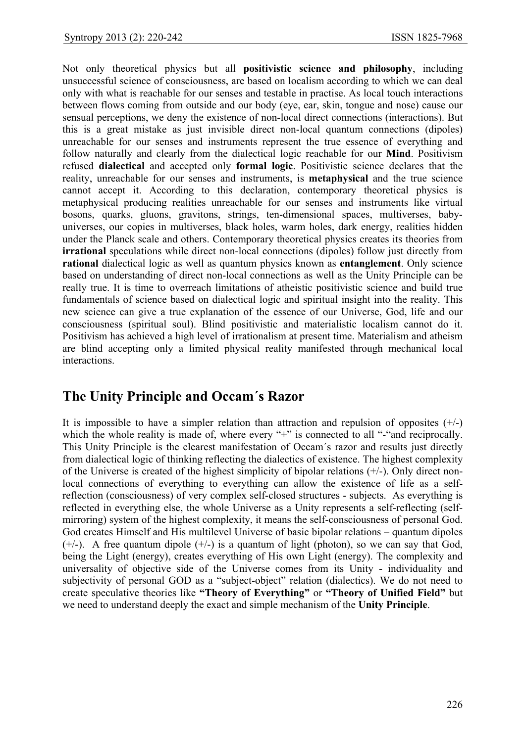Not only theoretical physics but all **positivistic science and philosophy**, including unsuccessful science of consciousness, are based on localism according to which we can deal only with what is reachable for our senses and testable in practise. As local touch interactions between flows coming from outside and our body (eye, ear, skin, tongue and nose) cause our sensual perceptions, we deny the existence of non-local direct connections (interactions). But this is a great mistake as just invisible direct non-local quantum connections (dipoles) unreachable for our senses and instruments represent the true essence of everything and follow naturally and clearly from the dialectical logic reachable for our **Mind**. Positivism refused **dialectical** and accepted only **formal logic**. Positivistic science declares that the reality, unreachable for our senses and instruments, is **metaphysical** and the true science cannot accept it. According to this declaration, contemporary theoretical physics is metaphysical producing realities unreachable for our senses and instruments like virtual bosons, quarks, gluons, gravitons, strings, ten-dimensional spaces, multiverses, babyuniverses, our copies in multiverses, black holes, warm holes, dark energy, realities hidden under the Planck scale and others. Contemporary theoretical physics creates its theories from **irrational** speculations while direct non-local connections (dipoles) follow just directly from **rational** dialectical logic as well as quantum physics known as **entanglement**. Only science based on understanding of direct non-local connections as well as the Unity Principle can be really true. It is time to overreach limitations of atheistic positivistic science and build true fundamentals of science based on dialectical logic and spiritual insight into the reality. This new science can give a true explanation of the essence of our Universe, God, life and our consciousness (spiritual soul). Blind positivistic and materialistic localism cannot do it. Positivism has achieved a high level of irrationalism at present time. Materialism and atheism are blind accepting only a limited physical reality manifested through mechanical local interactions.

# **The Unity Principle and Occam´s Razor**

It is impossible to have a simpler relation than attraction and repulsion of opposites  $(+/-)$ which the whole reality is made of, where every "+" is connected to all "-"and reciprocally. This Unity Principle is the clearest manifestation of Occam´s razor and results just directly from dialectical logic of thinking reflecting the dialectics of existence. The highest complexity of the Universe is created of the highest simplicity of bipolar relations (+/-). Only direct nonlocal connections of everything to everything can allow the existence of life as a selfreflection (consciousness) of very complex self-closed structures - subjects. As everything is reflected in everything else, the whole Universe as a Unity represents a self-reflecting (selfmirroring) system of the highest complexity, it means the self-consciousness of personal God. God creates Himself and His multilevel Universe of basic bipolar relations – quantum dipoles  $(+/-)$ . A free quantum dipole  $(+/-)$  is a quantum of light (photon), so we can say that God. being the Light (energy), creates everything of His own Light (energy). The complexity and universality of objective side of the Universe comes from its Unity - individuality and subjectivity of personal GOD as a "subject-object" relation (dialectics). We do not need to create speculative theories like **"Theory of Everything"** or **"Theory of Unified Field"** but we need to understand deeply the exact and simple mechanism of the **Unity Principle**.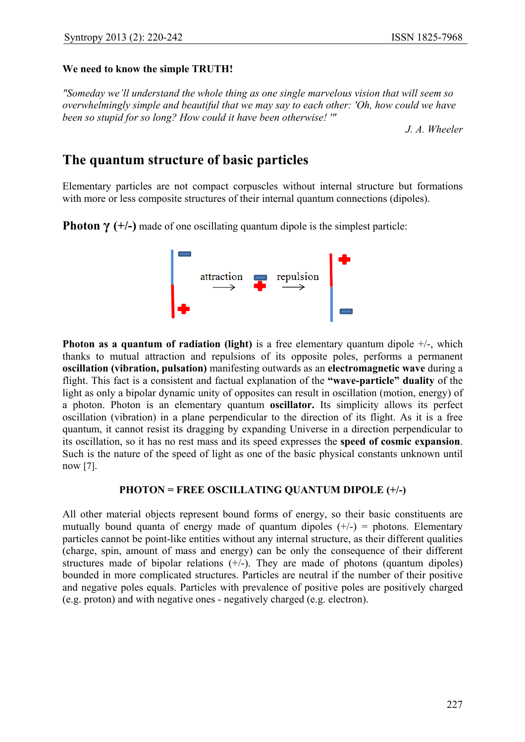#### **We need to know the simple TRUTH!**

*"Someday we'll understand the whole thing as one single marvelous vision that will seem so overwhelmingly simple and beautiful that we may say to each other: 'Oh, how could we have been so stupid for so long? How could it have been otherwise! '"* 

*J. A. Wheeler* 

# **The quantum structure of basic particles**

Elementary particles are not compact corpuscles without internal structure but formations with more or less composite structures of their internal quantum connections (dipoles).

**Photon**  $\gamma$  **(+/-)** made of one oscillating quantum dipole is the simplest particle:



**Photon as a quantum of radiation (light)** is a free elementary quantum dipole  $+/-$ , which thanks to mutual attraction and repulsions of its opposite poles, performs a permanent **oscillation (vibration, pulsation)** manifesting outwards as an **electromagnetic wave** during a flight. This fact is a consistent and factual explanation of the **"wave-particle" duality** of the light as only a bipolar dynamic unity of opposites can result in oscillation (motion, energy) of a photon. Photon is an elementary quantum **oscillator.** Its simplicity allows its perfect oscillation (vibration) in a plane perpendicular to the direction of its flight. As it is a free quantum, it cannot resist its dragging by expanding Universe in a direction perpendicular to its oscillation, so it has no rest mass and its speed expresses the **speed of cosmic expansion**. Such is the nature of the speed of light as one of the basic physical constants unknown until now [7].

#### **PHOTON = FREE OSCILLATING QUANTUM DIPOLE (+/-)**

All other material objects represent bound forms of energy, so their basic constituents are mutually bound quanta of energy made of quantum dipoles  $(+/-)$  = photons. Elementary particles cannot be point-like entities without any internal structure, as their different qualities (charge, spin, amount of mass and energy) can be only the consequence of their different structures made of bipolar relations  $(+/-)$ . They are made of photons (quantum dipoles) bounded in more complicated structures. Particles are neutral if the number of their positive and negative poles equals. Particles with prevalence of positive poles are positively charged (e.g. proton) and with negative ones - negatively charged (e.g. electron).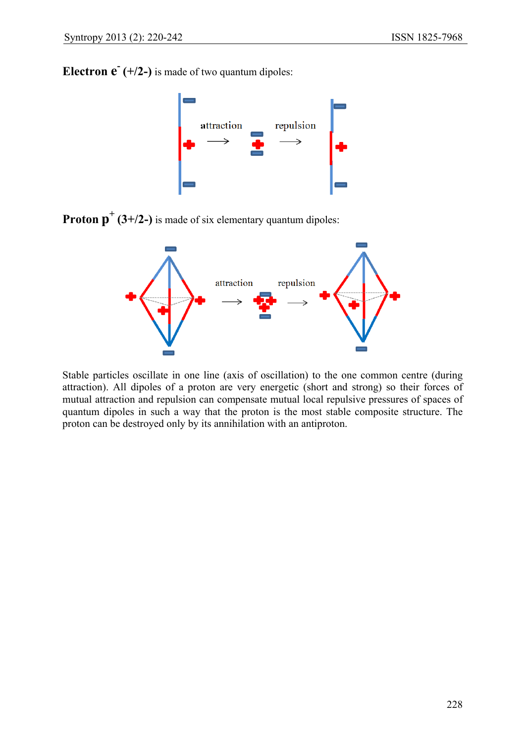**Electron**  $\mathbf{e}^{\mathsf{T}}$  **(+/2-) is made of two quantum dipoles:** 



**Proton**  $p^+(3+/2-)$  is made of six elementary quantum dipoles:



Stable particles oscillate in one line (axis of oscillation) to the one common centre (during attraction). All dipoles of a proton are very energetic (short and strong) so their forces of mutual attraction and repulsion can compensate mutual local repulsive pressures of spaces of quantum dipoles in such a way that the proton is the most stable composite structure. The proton can be destroyed only by its annihilation with an antiproton.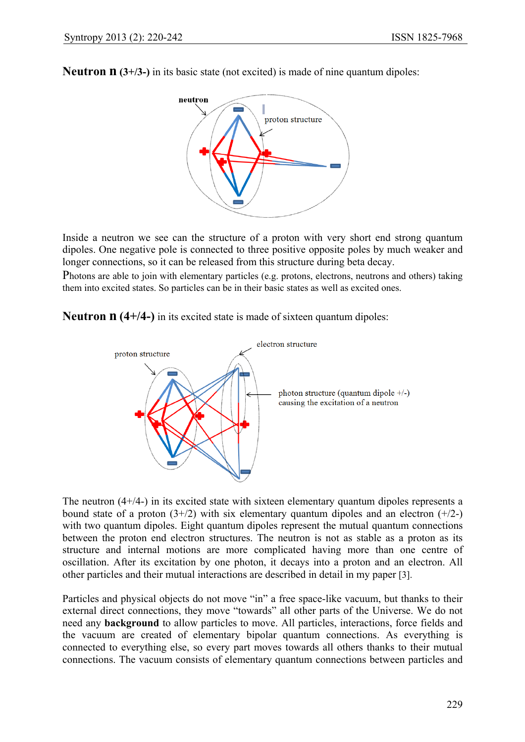**Neutron <b>n** (3+/3-) in its basic state (not excited) is made of nine quantum dipoles:



Inside a neutron we see can the structure of a proton with very short end strong quantum dipoles. One negative pole is connected to three positive opposite poles by much weaker and longer connections, so it can be released from this structure during beta decay.

Photons are able to join with elementary particles (e.g. protons, electrons, neutrons and others) taking them into excited states. So particles can be in their basic states as well as excited ones.

**Neutron n (4+/4-)** in its excited state is made of sixteen quantum dipoles:



The neutron  $(4+/4-)$  in its excited state with sixteen elementary quantum dipoles represents a bound state of a proton  $(3+/2)$  with six elementary quantum dipoles and an electron  $(+/2-)$ with two quantum dipoles. Eight quantum dipoles represent the mutual quantum connections between the proton end electron structures. The neutron is not as stable as a proton as its structure and internal motions are more complicated having more than one centre of oscillation. After its excitation by one photon, it decays into a proton and an electron. All other particles and their mutual interactions are described in detail in my paper [3].

Particles and physical objects do not move "in" a free space-like vacuum, but thanks to their external direct connections, they move "towards" all other parts of the Universe. We do not need any **background** to allow particles to move. All particles, interactions, force fields and the vacuum are created of elementary bipolar quantum connections. As everything is connected to everything else, so every part moves towards all others thanks to their mutual connections. The vacuum consists of elementary quantum connections between particles and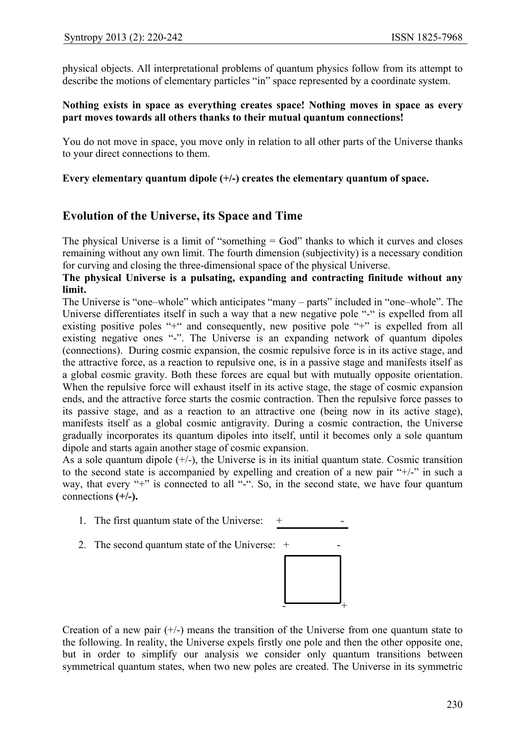physical objects. All interpretational problems of quantum physics follow from its attempt to describe the motions of elementary particles "in" space represented by a coordinate system.

#### **Nothing exists in space as everything creates space! Nothing moves in space as every part moves towards all others thanks to their mutual quantum connections!**

You do not move in space, you move only in relation to all other parts of the Universe thanks to your direct connections to them.

#### **Every elementary quantum dipole (+/-) creates the elementary quantum of space.**

### **Evolution of the Universe, its Space and Time**

The physical Universe is a limit of "something = God" thanks to which it curves and closes remaining without any own limit. The fourth dimension (subjectivity) is a necessary condition for curving and closing the three-dimensional space of the physical Universe.

#### **The physical Universe is a pulsating, expanding and contracting finitude without any limit.**

The Universe is "one–whole" which anticipates "many – parts" included in "one–whole". The Universe differentiates itself in such a way that a new negative pole "-" is expelled from all existing positive poles "+" and consequently, new positive pole "+" is expelled from all existing negative ones "-". The Universe is an expanding network of quantum dipoles (connections). During cosmic expansion, the cosmic repulsive force is in its active stage, and the attractive force, as a reaction to repulsive one, is in a passive stage and manifests itself as a global cosmic gravity. Both these forces are equal but with mutually opposite orientation. When the repulsive force will exhaust itself in its active stage, the stage of cosmic expansion ends, and the attractive force starts the cosmic contraction. Then the repulsive force passes to its passive stage, and as a reaction to an attractive one (being now in its active stage), manifests itself as a global cosmic antigravity. During a cosmic contraction, the Universe gradually incorporates its quantum dipoles into itself, until it becomes only a sole quantum dipole and starts again another stage of cosmic expansion.

As a sole quantum dipole  $(+/-)$ , the Universe is in its initial quantum state. Cosmic transition to the second state is accompanied by expelling and creation of a new pair "+/-" in such a way, that every "+" is connected to all "-". So, in the second state, we have four quantum connections **(+/-).** 

- 1. The first quantum state of the Universe:  $+$
- 2. The second quantum state of the Universe:  $+$



Creation of a new pair  $(+/-)$  means the transition of the Universe from one quantum state to the following. In reality, the Universe expels firstly one pole and then the other opposite one, but in order to simplify our analysis we consider only quantum transitions between symmetrical quantum states, when two new poles are created. The Universe in its symmetric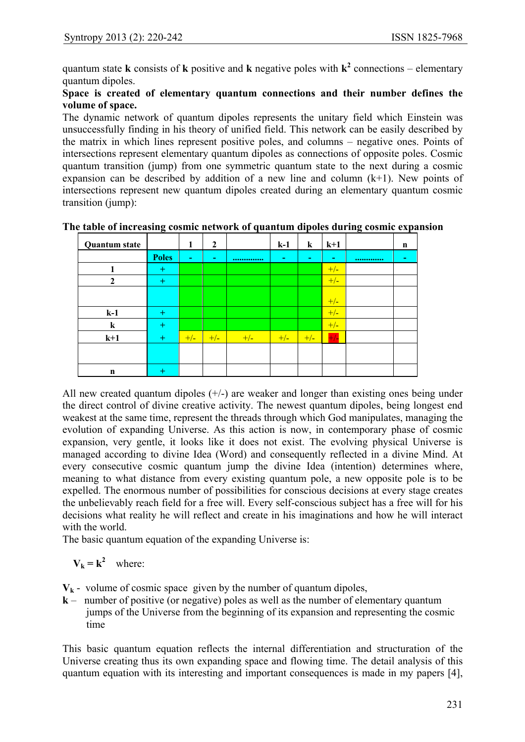quantum state **k** consists of **k** positive and **k** negative poles with  $k^2$  connections – elementary quantum dipoles.

#### **Space is created of elementary quantum connections and their number defines the volume of space.**

The dynamic network of quantum dipoles represents the unitary field which Einstein was unsuccessfully finding in his theory of unified field. This network can be easily described by the matrix in which lines represent positive poles, and columns – negative ones. Points of intersections represent elementary quantum dipoles as connections of opposite poles. Cosmic quantum transition (jump) from one symmetric quantum state to the next during a cosmic expansion can be described by addition of a new line and column  $(k+1)$ . New points of intersections represent new quantum dipoles created during an elementary quantum cosmic transition (jump):

| <b>Quantum state</b> |              | 1              | $\boldsymbol{2}$ |       | $k-1$ | $\bf k$ | $k+1$ | n     |
|----------------------|--------------|----------------|------------------|-------|-------|---------|-------|-------|
|                      | <b>Poles</b> | $\blacksquare$ | ۰                |       | ٠     | -       | ٠     | <br>٠ |
|                      | $\pm$        |                |                  |       |       |         | $+/-$ |       |
| $\mathbf{2}$         | $\pm$        |                |                  |       |       |         | $+/-$ |       |
|                      |              |                |                  |       |       |         | $+/-$ |       |
| $k-1$                | $^{+}$       |                |                  |       |       |         | $+/-$ |       |
| $\bf k$              | $^{+}$       |                |                  |       |       |         | $+/-$ |       |
| $k+1$                | $\pm$        | $+/-$          | $+/-$            | $+/-$ | $+/-$ | $+/-$   | $+/-$ |       |
|                      |              |                |                  |       |       |         |       |       |
| n                    | $^{+}$       |                |                  |       |       |         |       |       |

**The table of increasing cosmic network of quantum dipoles during cosmic expansion** 

All new created quantum dipoles  $(+/-)$  are weaker and longer than existing ones being under the direct control of divine creative activity. The newest quantum dipoles, being longest end weakest at the same time, represent the threads through which God manipulates, managing the evolution of expanding Universe. As this action is now, in contemporary phase of cosmic expansion, very gentle, it looks like it does not exist. The evolving physical Universe is managed according to divine Idea (Word) and consequently reflected in a divine Mind. At every consecutive cosmic quantum jump the divine Idea (intention) determines where, meaning to what distance from every existing quantum pole, a new opposite pole is to be expelled. The enormous number of possibilities for conscious decisions at every stage creates the unbelievably reach field for a free will. Every self-conscious subject has a free will for his decisions what reality he will reflect and create in his imaginations and how he will interact with the world.

The basic quantum equation of the expanding Universe is:

# $V_k = k^2$  where:

- $V_k$  volume of cosmic space given by the number of quantum dipoles,
- **k**  number of positive (or negative) poles as well as the number of elementary quantum jumps of the Universe from the beginning of its expansion and representing the cosmic time

This basic quantum equation reflects the internal differentiation and structuration of the Universe creating thus its own expanding space and flowing time. The detail analysis of this quantum equation with its interesting and important consequences is made in my papers [4],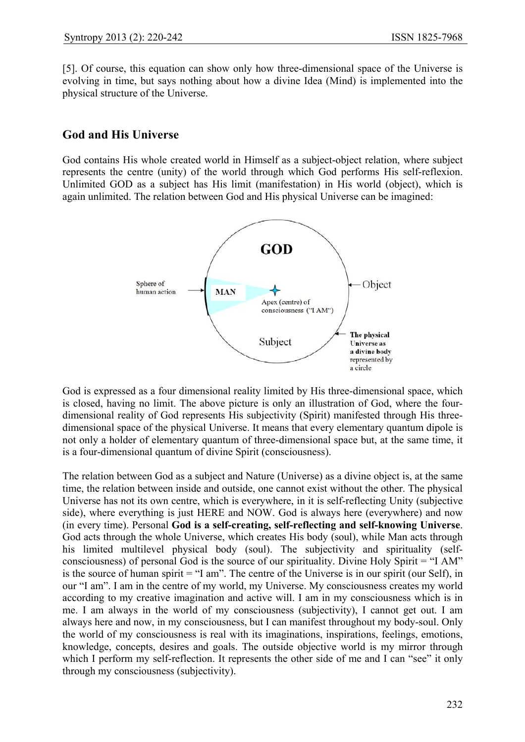[5]. Of course, this equation can show only how three-dimensional space of the Universe is evolving in time, but says nothing about how a divine Idea (Mind) is implemented into the physical structure of the Universe.

# **God and His Universe**

God contains His whole created world in Himself as a subject-object relation, where subject represents the centre (unity) of the world through which God performs His self-reflexion. Unlimited GOD as a subject has His limit (manifestation) in His world (object), which is again unlimited. The relation between God and His physical Universe can be imagined:



God is expressed as a four dimensional reality limited by His three-dimensional space, which is closed, having no limit. The above picture is only an illustration of God, where the fourdimensional reality of God represents His subjectivity (Spirit) manifested through His threedimensional space of the physical Universe. It means that every elementary quantum dipole is not only a holder of elementary quantum of three-dimensional space but, at the same time, it is a four-dimensional quantum of divine Spirit (consciousness).

The relation between God as a subject and Nature (Universe) as a divine object is, at the same time, the relation between inside and outside, one cannot exist without the other. The physical Universe has not its own centre, which is everywhere, in it is self-reflecting Unity (subjective side), where everything is just HERE and NOW. God is always here (everywhere) and now (in every time). Personal **God is a self-creating, self-reflecting and self-knowing Universe**. God acts through the whole Universe, which creates His body (soul), while Man acts through his limited multilevel physical body (soul). The subjectivity and spirituality (selfconsciousness) of personal God is the source of our spirituality. Divine Holy Spirit = "I AM" is the source of human spirit = "I am". The centre of the Universe is in our spirit (our Self), in our "I am". I am in the centre of my world, my Universe. My consciousness creates my world according to my creative imagination and active will. I am in my consciousness which is in me. I am always in the world of my consciousness (subjectivity), I cannot get out. I am always here and now, in my consciousness, but I can manifest throughout my body-soul. Only the world of my consciousness is real with its imaginations, inspirations, feelings, emotions, knowledge, concepts, desires and goals. The outside objective world is my mirror through which I perform my self-reflection. It represents the other side of me and I can "see" it only through my consciousness (subjectivity).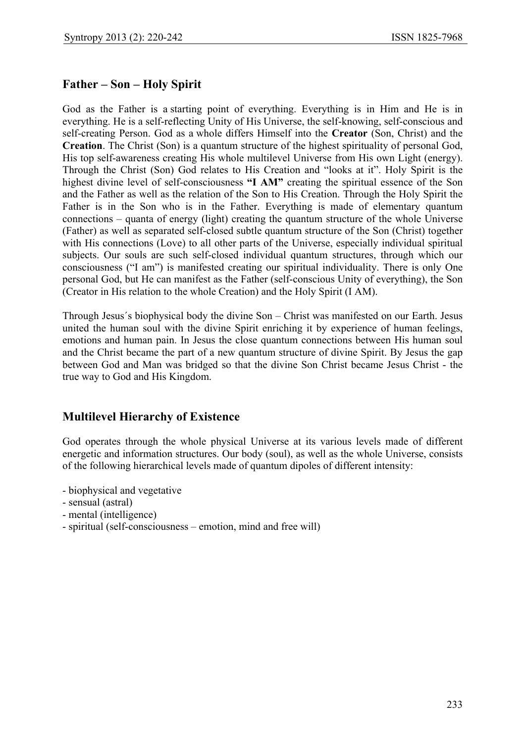# **Father – Son – Holy Spirit**

God as the Father is a starting point of everything. Everything is in Him and He is in everything. He is a self-reflecting Unity of His Universe, the self-knowing, self-conscious and self-creating Person. God as a whole differs Himself into the **Creator** (Son, Christ) and the **Creation**. The Christ (Son) is a quantum structure of the highest spirituality of personal God, His top self-awareness creating His whole multilevel Universe from His own Light (energy). Through the Christ (Son) God relates to His Creation and "looks at it". Holy Spirit is the highest divine level of self-consciousness **"I AM"** creating the spiritual essence of the Son and the Father as well as the relation of the Son to His Creation. Through the Holy Spirit the Father is in the Son who is in the Father. Everything is made of elementary quantum connections – quanta of energy (light) creating the quantum structure of the whole Universe (Father) as well as separated self-closed subtle quantum structure of the Son (Christ) together with His connections (Love) to all other parts of the Universe, especially individual spiritual subjects. Our souls are such self-closed individual quantum structures, through which our consciousness ("I am") is manifested creating our spiritual individuality. There is only One personal God, but He can manifest as the Father (self-conscious Unity of everything), the Son (Creator in His relation to the whole Creation) and the Holy Spirit (I AM).

Through Jesus´s biophysical body the divine Son – Christ was manifested on our Earth. Jesus united the human soul with the divine Spirit enriching it by experience of human feelings, emotions and human pain. In Jesus the close quantum connections between His human soul and the Christ became the part of a new quantum structure of divine Spirit. By Jesus the gap between God and Man was bridged so that the divine Son Christ became Jesus Christ - the true way to God and His Kingdom.

# **Multilevel Hierarchy of Existence**

God operates through the whole physical Universe at its various levels made of different energetic and information structures. Our body (soul), as well as the whole Universe, consists of the following hierarchical levels made of quantum dipoles of different intensity:

- biophysical and vegetative
- sensual (astral)
- mental (intelligence)
- spiritual (self-consciousness emotion, mind and free will)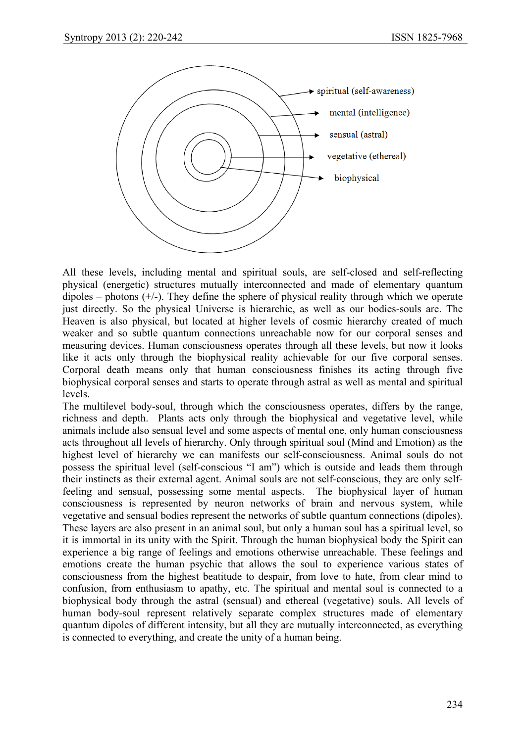

All these levels, including mental and spiritual souls, are self-closed and self-reflecting physical (energetic) structures mutually interconnected and made of elementary quantum dipoles – photons  $(+/-)$ . They define the sphere of physical reality through which we operate just directly. So the physical Universe is hierarchic, as well as our bodies-souls are. The Heaven is also physical, but located at higher levels of cosmic hierarchy created of much weaker and so subtle quantum connections unreachable now for our corporal senses and measuring devices. Human consciousness operates through all these levels, but now it looks like it acts only through the biophysical reality achievable for our five corporal senses. Corporal death means only that human consciousness finishes its acting through five biophysical corporal senses and starts to operate through astral as well as mental and spiritual levels.

The multilevel body-soul, through which the consciousness operates, differs by the range, richness and depth. Plants acts only through the biophysical and vegetative level, while animals include also sensual level and some aspects of mental one, only human consciousness acts throughout all levels of hierarchy. Only through spiritual soul (Mind and Emotion) as the highest level of hierarchy we can manifests our self-consciousness. Animal souls do not possess the spiritual level (self-conscious "I am") which is outside and leads them through their instincts as their external agent. Animal souls are not self-conscious, they are only selffeeling and sensual, possessing some mental aspects. The biophysical layer of human consciousness is represented by neuron networks of brain and nervous system, while vegetative and sensual bodies represent the networks of subtle quantum connections (dipoles). These layers are also present in an animal soul, but only a human soul has a spiritual level, so it is immortal in its unity with the Spirit. Through the human biophysical body the Spirit can experience a big range of feelings and emotions otherwise unreachable. These feelings and emotions create the human psychic that allows the soul to experience various states of consciousness from the highest beatitude to despair, from love to hate, from clear mind to confusion, from enthusiasm to apathy, etc. The spiritual and mental soul is connected to a biophysical body through the astral (sensual) and ethereal (vegetative) souls. All levels of human body-soul represent relatively separate complex structures made of elementary quantum dipoles of different intensity, but all they are mutually interconnected, as everything is connected to everything, and create the unity of a human being.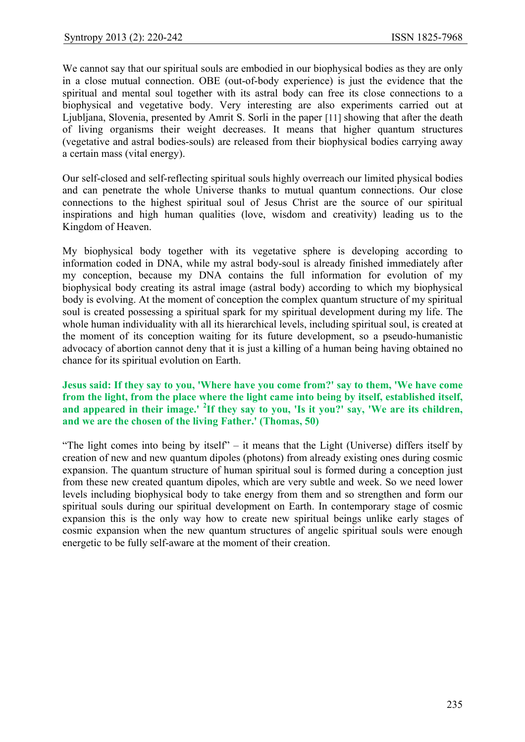We cannot say that our spiritual souls are embodied in our biophysical bodies as they are only in a close mutual connection. OBE (out-of-body experience) is just the evidence that the spiritual and mental soul together with its astral body can free its close connections to a biophysical and vegetative body. Very interesting are also experiments carried out at Ljubljana, Slovenia, presented by Amrit S. Sorli in the paper [11] showing that after the death of living organisms their weight decreases. It means that higher quantum structures (vegetative and astral bodies-souls) are released from their biophysical bodies carrying away a certain mass (vital energy).

Our self-closed and self-reflecting spiritual souls highly overreach our limited physical bodies and can penetrate the whole Universe thanks to mutual quantum connections. Our close connections to the highest spiritual soul of Jesus Christ are the source of our spiritual inspirations and high human qualities (love, wisdom and creativity) leading us to the Kingdom of Heaven.

My biophysical body together with its vegetative sphere is developing according to information coded in DNA, while my astral body-soul is already finished immediately after my conception, because my DNA contains the full information for evolution of my biophysical body creating its astral image (astral body) according to which my biophysical body is evolving. At the moment of conception the complex quantum structure of my spiritual soul is created possessing a spiritual spark for my spiritual development during my life. The whole human individuality with all its hierarchical levels, including spiritual soul, is created at the moment of its conception waiting for its future development, so a pseudo-humanistic advocacy of abortion cannot deny that it is just a killing of a human being having obtained no chance for its spiritual evolution on Earth.

#### **Jesus said: If they say to you, 'Where have you come from?' say to them, 'We have come from the light, from the place where the light came into being by itself, established itself, and appeared in their image.' <sup>2</sup> If they say to you, 'Is it you?' say, 'We are its children, and we are the chosen of the living Father.' (Thomas, 50)**

"The light comes into being by itself" – it means that the Light (Universe) differs itself by creation of new and new quantum dipoles (photons) from already existing ones during cosmic expansion. The quantum structure of human spiritual soul is formed during a conception just from these new created quantum dipoles, which are very subtle and week. So we need lower levels including biophysical body to take energy from them and so strengthen and form our spiritual souls during our spiritual development on Earth. In contemporary stage of cosmic expansion this is the only way how to create new spiritual beings unlike early stages of cosmic expansion when the new quantum structures of angelic spiritual souls were enough energetic to be fully self-aware at the moment of their creation.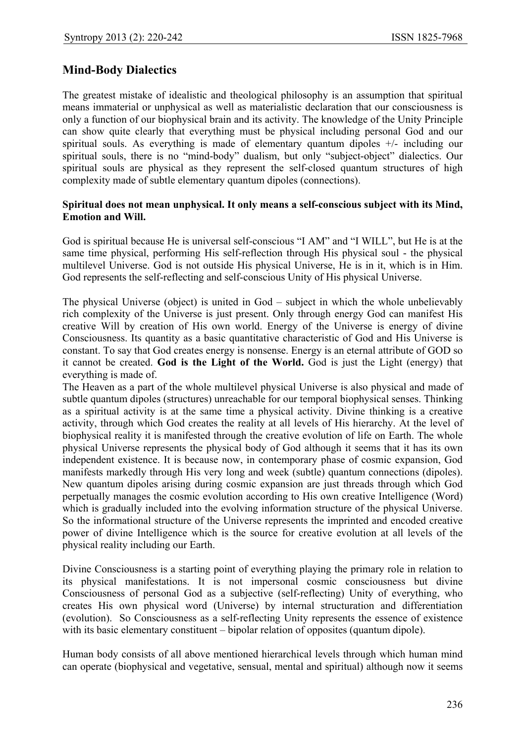# **Mind-Body Dialectics**

The greatest mistake of idealistic and theological philosophy is an assumption that spiritual means immaterial or unphysical as well as materialistic declaration that our consciousness is only a function of our biophysical brain and its activity. The knowledge of the Unity Principle can show quite clearly that everything must be physical including personal God and our spiritual souls. As everything is made of elementary quantum dipoles +/- including our spiritual souls, there is no "mind-body" dualism, but only "subject-object" dialectics. Our spiritual souls are physical as they represent the self-closed quantum structures of high complexity made of subtle elementary quantum dipoles (connections).

#### **Spiritual does not mean unphysical. It only means a self-conscious subject with its Mind, Emotion and Will.**

God is spiritual because He is universal self-conscious "I AM" and "I WILL", but He is at the same time physical, performing His self-reflection through His physical soul - the physical multilevel Universe. God is not outside His physical Universe, He is in it, which is in Him. God represents the self-reflecting and self-conscious Unity of His physical Universe.

The physical Universe (object) is united in God – subject in which the whole unbelievably rich complexity of the Universe is just present. Only through energy God can manifest His creative Will by creation of His own world. Energy of the Universe is energy of divine Consciousness. Its quantity as a basic quantitative characteristic of God and His Universe is constant. To say that God creates energy is nonsense. Energy is an eternal attribute of GOD so it cannot be created. **God is the Light of the World.** God is just the Light (energy) that everything is made of.

The Heaven as a part of the whole multilevel physical Universe is also physical and made of subtle quantum dipoles (structures) unreachable for our temporal biophysical senses. Thinking as a spiritual activity is at the same time a physical activity. Divine thinking is a creative activity, through which God creates the reality at all levels of His hierarchy. At the level of biophysical reality it is manifested through the creative evolution of life on Earth. The whole physical Universe represents the physical body of God although it seems that it has its own independent existence. It is because now, in contemporary phase of cosmic expansion, God manifests markedly through His very long and week (subtle) quantum connections (dipoles). New quantum dipoles arising during cosmic expansion are just threads through which God perpetually manages the cosmic evolution according to His own creative Intelligence (Word) which is gradually included into the evolving information structure of the physical Universe. So the informational structure of the Universe represents the imprinted and encoded creative power of divine Intelligence which is the source for creative evolution at all levels of the physical reality including our Earth.

Divine Consciousness is a starting point of everything playing the primary role in relation to its physical manifestations. It is not impersonal cosmic consciousness but divine Consciousness of personal God as a subjective (self-reflecting) Unity of everything, who creates His own physical word (Universe) by internal structuration and differentiation (evolution). So Consciousness as a self-reflecting Unity represents the essence of existence with its basic elementary constituent – bipolar relation of opposites (quantum dipole).

Human body consists of all above mentioned hierarchical levels through which human mind can operate (biophysical and vegetative, sensual, mental and spiritual) although now it seems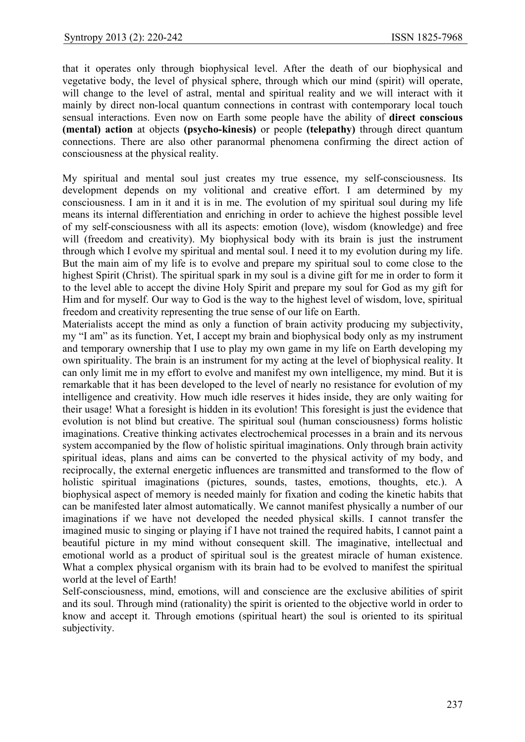that it operates only through biophysical level. After the death of our biophysical and vegetative body, the level of physical sphere, through which our mind (spirit) will operate, will change to the level of astral, mental and spiritual reality and we will interact with it mainly by direct non-local quantum connections in contrast with contemporary local touch sensual interactions. Even now on Earth some people have the ability of **direct conscious (mental) action** at objects **(psycho-kinesis)** or people **(telepathy)** through direct quantum connections. There are also other paranormal phenomena confirming the direct action of consciousness at the physical reality.

My spiritual and mental soul just creates my true essence, my self-consciousness. Its development depends on my volitional and creative effort. I am determined by my consciousness. I am in it and it is in me. The evolution of my spiritual soul during my life means its internal differentiation and enriching in order to achieve the highest possible level of my self-consciousness with all its aspects: emotion (love), wisdom (knowledge) and free will (freedom and creativity). My biophysical body with its brain is just the instrument through which I evolve my spiritual and mental soul. I need it to my evolution during my life. But the main aim of my life is to evolve and prepare my spiritual soul to come close to the highest Spirit (Christ). The spiritual spark in my soul is a divine gift for me in order to form it to the level able to accept the divine Holy Spirit and prepare my soul for God as my gift for Him and for myself. Our way to God is the way to the highest level of wisdom, love, spiritual freedom and creativity representing the true sense of our life on Earth.

Materialists accept the mind as only a function of brain activity producing my subjectivity, my "I am" as its function. Yet, I accept my brain and biophysical body only as my instrument and temporary ownership that I use to play my own game in my life on Earth developing my own spirituality. The brain is an instrument for my acting at the level of biophysical reality. It can only limit me in my effort to evolve and manifest my own intelligence, my mind. But it is remarkable that it has been developed to the level of nearly no resistance for evolution of my intelligence and creativity. How much idle reserves it hides inside, they are only waiting for their usage! What a foresight is hidden in its evolution! This foresight is just the evidence that evolution is not blind but creative. The spiritual soul (human consciousness) forms holistic imaginations. Creative thinking activates electrochemical processes in a brain and its nervous system accompanied by the flow of holistic spiritual imaginations. Only through brain activity spiritual ideas, plans and aims can be converted to the physical activity of my body, and reciprocally, the external energetic influences are transmitted and transformed to the flow of holistic spiritual imaginations (pictures, sounds, tastes, emotions, thoughts, etc.). A biophysical aspect of memory is needed mainly for fixation and coding the kinetic habits that can be manifested later almost automatically. We cannot manifest physically a number of our imaginations if we have not developed the needed physical skills. I cannot transfer the imagined music to singing or playing if I have not trained the required habits, I cannot paint a beautiful picture in my mind without consequent skill. The imaginative, intellectual and emotional world as a product of spiritual soul is the greatest miracle of human existence. What a complex physical organism with its brain had to be evolved to manifest the spiritual world at the level of Earth!

Self-consciousness, mind, emotions, will and conscience are the exclusive abilities of spirit and its soul. Through mind (rationality) the spirit is oriented to the objective world in order to know and accept it. Through emotions (spiritual heart) the soul is oriented to its spiritual subjectivity.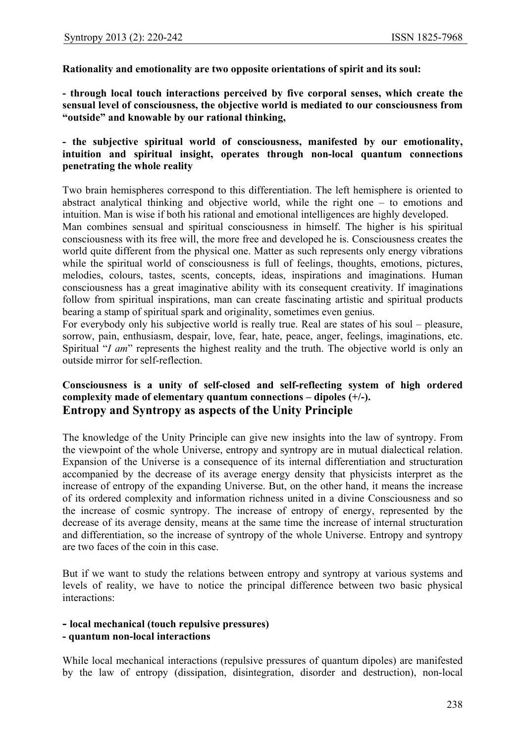**Rationality and emotionality are two opposite orientations of spirit and its soul:** 

**- through local touch interactions perceived by five corporal senses, which create the sensual level of consciousness, the objective world is mediated to our consciousness from "outside" and knowable by our rational thinking,** 

#### **- the subjective spiritual world of consciousness, manifested by our emotionality, intuition and spiritual insight, operates through non-local quantum connections penetrating the whole reality**

Two brain hemispheres correspond to this differentiation. The left hemisphere is oriented to abstract analytical thinking and objective world, while the right one – to emotions and intuition. Man is wise if both his rational and emotional intelligences are highly developed.

Man combines sensual and spiritual consciousness in himself. The higher is his spiritual consciousness with its free will, the more free and developed he is. Consciousness creates the world quite different from the physical one. Matter as such represents only energy vibrations while the spiritual world of consciousness is full of feelings, thoughts, emotions, pictures, melodies, colours, tastes, scents, concepts, ideas, inspirations and imaginations. Human consciousness has a great imaginative ability with its consequent creativity. If imaginations follow from spiritual inspirations, man can create fascinating artistic and spiritual products bearing a stamp of spiritual spark and originality, sometimes even genius.

For everybody only his subjective world is really true. Real are states of his soul – pleasure, sorrow, pain, enthusiasm, despair, love, fear, hate, peace, anger, feelings, imaginations, etc. Spiritual "*I am*" represents the highest reality and the truth. The objective world is only an outside mirror for self-reflection.

#### **Consciousness is a unity of self-closed and self-reflecting system of high ordered complexity made of elementary quantum connections – dipoles (+/-). Entropy and Syntropy as aspects of the Unity Principle**

The knowledge of the Unity Principle can give new insights into the law of syntropy. From the viewpoint of the whole Universe, entropy and syntropy are in mutual dialectical relation. Expansion of the Universe is a consequence of its internal differentiation and structuration accompanied by the decrease of its average energy density that physicists interpret as the increase of entropy of the expanding Universe. But, on the other hand, it means the increase of its ordered complexity and information richness united in a divine Consciousness and so the increase of cosmic syntropy. The increase of entropy of energy, represented by the decrease of its average density, means at the same time the increase of internal structuration and differentiation, so the increase of syntropy of the whole Universe. Entropy and syntropy are two faces of the coin in this case.

But if we want to study the relations between entropy and syntropy at various systems and levels of reality, we have to notice the principal difference between two basic physical interactions:

#### **- local mechanical (touch repulsive pressures) - quantum non-local interactions**

While local mechanical interactions (repulsive pressures of quantum dipoles) are manifested by the law of entropy (dissipation, disintegration, disorder and destruction), non-local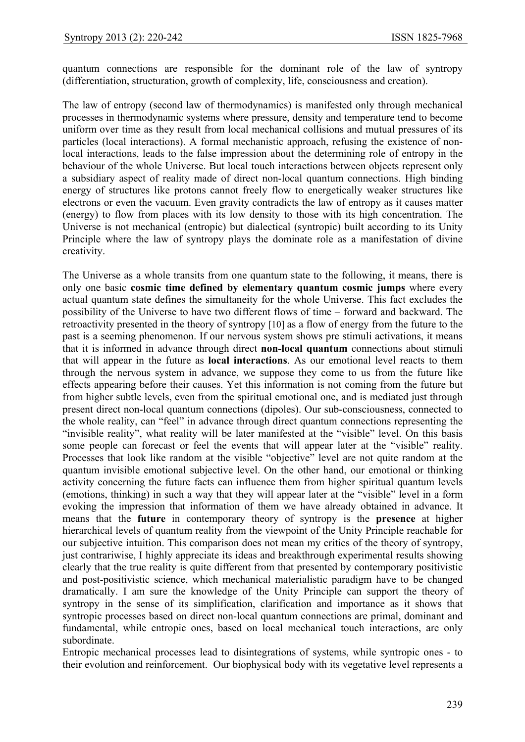quantum connections are responsible for the dominant role of the law of syntropy (differentiation, structuration, growth of complexity, life, consciousness and creation).

The law of entropy (second law of thermodynamics) is manifested only through mechanical processes in thermodynamic systems where pressure, density and temperature tend to become uniform over time as they result from local mechanical collisions and mutual pressures of its particles (local interactions). A formal mechanistic approach, refusing the existence of nonlocal interactions, leads to the false impression about the determining role of entropy in the behaviour of the whole Universe. But local touch interactions between objects represent only a subsidiary aspect of reality made of direct non-local quantum connections. High binding energy of structures like protons cannot freely flow to energetically weaker structures like electrons or even the vacuum. Even gravity contradicts the law of entropy as it causes matter (energy) to flow from places with its low density to those with its high concentration. The Universe is not mechanical (entropic) but dialectical (syntropic) built according to its Unity Principle where the law of syntropy plays the dominate role as a manifestation of divine creativity.

The Universe as a whole transits from one quantum state to the following, it means, there is only one basic **cosmic time defined by elementary quantum cosmic jumps** where every actual quantum state defines the simultaneity for the whole Universe. This fact excludes the possibility of the Universe to have two different flows of time – forward and backward. The retroactivity presented in the theory of syntropy [10] as a flow of energy from the future to the past is a seeming phenomenon. If our nervous system shows pre stimuli activations, it means that it is informed in advance through direct **non-local quantum** connections about stimuli that will appear in the future as **local interactions**. As our emotional level reacts to them through the nervous system in advance, we suppose they come to us from the future like effects appearing before their causes. Yet this information is not coming from the future but from higher subtle levels, even from the spiritual emotional one, and is mediated just through present direct non-local quantum connections (dipoles). Our sub-consciousness, connected to the whole reality, can "feel" in advance through direct quantum connections representing the "invisible reality", what reality will be later manifested at the "visible" level. On this basis some people can forecast or feel the events that will appear later at the "visible" reality. Processes that look like random at the visible "objective" level are not quite random at the quantum invisible emotional subjective level. On the other hand, our emotional or thinking activity concerning the future facts can influence them from higher spiritual quantum levels (emotions, thinking) in such a way that they will appear later at the "visible" level in a form evoking the impression that information of them we have already obtained in advance. It means that the **future** in contemporary theory of syntropy is the **presence** at higher hierarchical levels of quantum reality from the viewpoint of the Unity Principle reachable for our subjective intuition. This comparison does not mean my critics of the theory of syntropy, just contrariwise, I highly appreciate its ideas and breakthrough experimental results showing clearly that the true reality is quite different from that presented by contemporary positivistic and post-positivistic science, which mechanical materialistic paradigm have to be changed dramatically. I am sure the knowledge of the Unity Principle can support the theory of syntropy in the sense of its simplification, clarification and importance as it shows that syntropic processes based on direct non-local quantum connections are primal, dominant and fundamental, while entropic ones, based on local mechanical touch interactions, are only subordinate.

Entropic mechanical processes lead to disintegrations of systems, while syntropic ones - to their evolution and reinforcement. Our biophysical body with its vegetative level represents a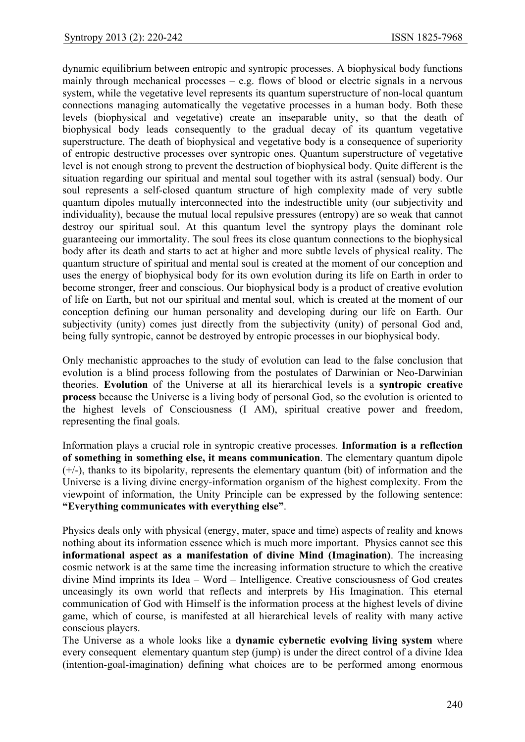dynamic equilibrium between entropic and syntropic processes. A biophysical body functions mainly through mechanical processes  $-$  e.g. flows of blood or electric signals in a nervous system, while the vegetative level represents its quantum superstructure of non-local quantum connections managing automatically the vegetative processes in a human body. Both these levels (biophysical and vegetative) create an inseparable unity, so that the death of biophysical body leads consequently to the gradual decay of its quantum vegetative superstructure. The death of biophysical and vegetative body is a consequence of superiority of entropic destructive processes over syntropic ones. Quantum superstructure of vegetative level is not enough strong to prevent the destruction of biophysical body. Quite different is the situation regarding our spiritual and mental soul together with its astral (sensual) body. Our soul represents a self-closed quantum structure of high complexity made of very subtle quantum dipoles mutually interconnected into the indestructible unity (our subjectivity and individuality), because the mutual local repulsive pressures (entropy) are so weak that cannot destroy our spiritual soul. At this quantum level the syntropy plays the dominant role guaranteeing our immortality. The soul frees its close quantum connections to the biophysical body after its death and starts to act at higher and more subtle levels of physical reality. The quantum structure of spiritual and mental soul is created at the moment of our conception and uses the energy of biophysical body for its own evolution during its life on Earth in order to become stronger, freer and conscious. Our biophysical body is a product of creative evolution of life on Earth, but not our spiritual and mental soul, which is created at the moment of our conception defining our human personality and developing during our life on Earth. Our subjectivity (unity) comes just directly from the subjectivity (unity) of personal God and, being fully syntropic, cannot be destroyed by entropic processes in our biophysical body.

Only mechanistic approaches to the study of evolution can lead to the false conclusion that evolution is a blind process following from the postulates of Darwinian or Neo-Darwinian theories. **Evolution** of the Universe at all its hierarchical levels is a **syntropic creative process** because the Universe is a living body of personal God, so the evolution is oriented to the highest levels of Consciousness (I AM), spiritual creative power and freedom, representing the final goals.

Information plays a crucial role in syntropic creative processes. **Information is a reflection of something in something else, it means communication**. The elementary quantum dipole (+/-), thanks to its bipolarity, represents the elementary quantum (bit) of information and the Universe is a living divine energy-information organism of the highest complexity. From the viewpoint of information, the Unity Principle can be expressed by the following sentence: **"Everything communicates with everything else"**.

Physics deals only with physical (energy, mater, space and time) aspects of reality and knows nothing about its information essence which is much more important. Physics cannot see this **informational aspect as a manifestation of divine Mind (Imagination)**. The increasing cosmic network is at the same time the increasing information structure to which the creative divine Mind imprints its Idea – Word – Intelligence. Creative consciousness of God creates unceasingly its own world that reflects and interprets by His Imagination. This eternal communication of God with Himself is the information process at the highest levels of divine game, which of course, is manifested at all hierarchical levels of reality with many active conscious players.

The Universe as a whole looks like a **dynamic cybernetic evolving living system** where every consequent elementary quantum step (jump) is under the direct control of a divine Idea (intention-goal-imagination) defining what choices are to be performed among enormous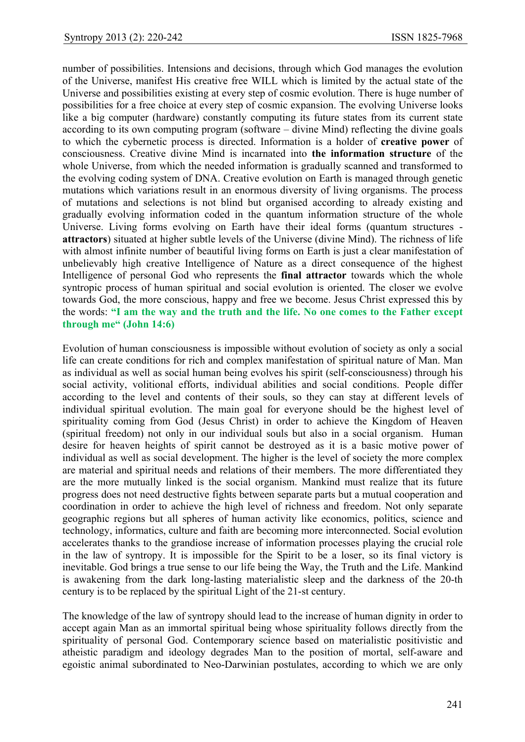number of possibilities. Intensions and decisions, through which God manages the evolution of the Universe, manifest His creative free WILL which is limited by the actual state of the Universe and possibilities existing at every step of cosmic evolution. There is huge number of possibilities for a free choice at every step of cosmic expansion. The evolving Universe looks like a big computer (hardware) constantly computing its future states from its current state according to its own computing program (software  $-$  divine Mind) reflecting the divine goals to which the cybernetic process is directed. Information is a holder of **creative power** of consciousness. Creative divine Mind is incarnated into **the information structure** of the whole Universe, from which the needed information is gradually scanned and transformed to the evolving coding system of DNA. Creative evolution on Earth is managed through genetic mutations which variations result in an enormous diversity of living organisms. The process of mutations and selections is not blind but organised according to already existing and gradually evolving information coded in the quantum information structure of the whole Universe. Living forms evolving on Earth have their ideal forms (quantum structures **attractors**) situated at higher subtle levels of the Universe (divine Mind). The richness of life with almost infinite number of beautiful living forms on Earth is just a clear manifestation of unbelievably high creative Intelligence of Nature as a direct consequence of the highest Intelligence of personal God who represents the **final attractor** towards which the whole syntropic process of human spiritual and social evolution is oriented. The closer we evolve towards God, the more conscious, happy and free we become. Jesus Christ expressed this by the words: **"I am the way and the truth and the life. No one comes to the Father except through me" (John 14:6)**

Evolution of human consciousness is impossible without evolution of society as only a social life can create conditions for rich and complex manifestation of spiritual nature of Man. Man as individual as well as social human being evolves his spirit (self-consciousness) through his social activity, volitional efforts, individual abilities and social conditions. People differ according to the level and contents of their souls, so they can stay at different levels of individual spiritual evolution. The main goal for everyone should be the highest level of spirituality coming from God (Jesus Christ) in order to achieve the Kingdom of Heaven (spiritual freedom) not only in our individual souls but also in a social organism. Human desire for heaven heights of spirit cannot be destroyed as it is a basic motive power of individual as well as social development. The higher is the level of society the more complex are material and spiritual needs and relations of their members. The more differentiated they are the more mutually linked is the social organism. Mankind must realize that its future progress does not need destructive fights between separate parts but a mutual cooperation and coordination in order to achieve the high level of richness and freedom. Not only separate geographic regions but all spheres of human activity like economics, politics, science and technology, informatics, culture and faith are becoming more interconnected. Social evolution accelerates thanks to the grandiose increase of information processes playing the crucial role in the law of syntropy. It is impossible for the Spirit to be a loser, so its final victory is inevitable. God brings a true sense to our life being the Way, the Truth and the Life. Mankind is awakening from the dark long-lasting materialistic sleep and the darkness of the 20-th century is to be replaced by the spiritual Light of the 21-st century.

The knowledge of the law of syntropy should lead to the increase of human dignity in order to accept again Man as an immortal spiritual being whose spirituality follows directly from the spirituality of personal God. Contemporary science based on materialistic positivistic and atheistic paradigm and ideology degrades Man to the position of mortal, self-aware and egoistic animal subordinated to Neo-Darwinian postulates, according to which we are only